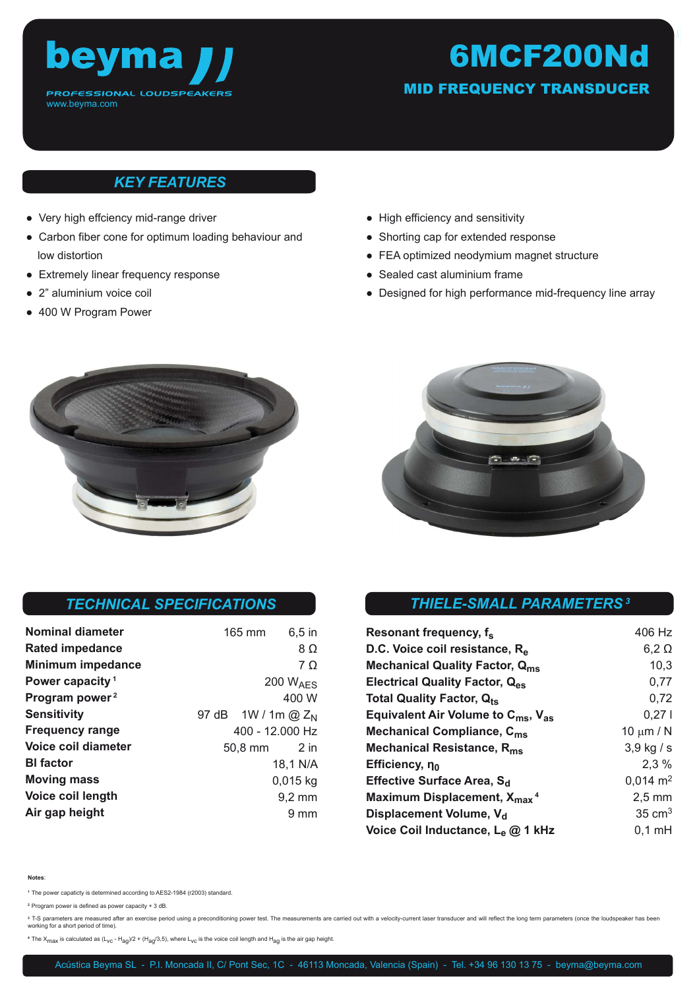

# 6MCF200Nd

MID FREQUENCY TRANSDUCER

#### *KEY FEATURES*

- Very high effciency mid-range driver
- Carbon fiber cone for optimum loading behaviour and low distortion
- Extremely linear frequency response
- 2" aluminium voice coil
- 400 W Program Power
- High efficiency and sensitivity • Shorting cap for extended response
- FEA optimized neodymium magnet structure
- Sealed cast aluminium frame
- Designed for high performance mid-frequency line array





#### *TECHNICAL SPECIFICATIONS*

| Nominal diameter            | 165 mm                  | $6,5$ in             |
|-----------------------------|-------------------------|----------------------|
| Rated impedance             |                         | 8Ω                   |
| <b>Minimum impedance</b>    |                         | 7 O                  |
| Power capacity <sup>1</sup> |                         | 200 $W_{\text{AFS}}$ |
| Program power <sup>2</sup>  |                         | 400 W                |
| <b>Sensitivity</b>          | 97 dB $1W / 1m$ @ $Z_N$ |                      |
| <b>Frequency range</b>      | 400 - 12.000 Hz         |                      |
| Voice coil diameter         | 50,8 mm                 | $2$ in               |
| <b>BI</b> factor            |                         | 18,1 N/A             |
| <b>Moving mass</b>          |                         | $0,015$ kg           |
| Voice coil length           |                         | $9,2 \, \text{mm}$   |
| Air gap height              |                         | $9 \text{ mm}$       |

### *THIELE-SMALL PARAMETERS<sup>3</sup>*

| Resonant frequency, f <sub>s</sub>                         | 406 Hz              |
|------------------------------------------------------------|---------------------|
| D.C. Voice coil resistance, R <sub>e</sub>                 | $6,2 \Omega$        |
| <b>Mechanical Quality Factor, Qms</b>                      | 10,3                |
| Electrical Quality Factor, Q <sub>es</sub>                 | 0,77                |
| Total Quality Factor, Q <sub>ts</sub>                      | 0,72                |
| Equivalent Air Volume to C <sub>ms</sub> , V <sub>as</sub> | 0,271               |
| Mechanical Compliance, C <sub>ms</sub>                     | 10 $\mu$ m / N      |
| Mechanical Resistance, R <sub>ms</sub>                     | $3,9$ kg / s        |
| Efficiency, no                                             | $2.3\%$             |
| Effective Surface Area, S <sub>d</sub>                     | $0,014 \text{ m}^2$ |
| Maximum Displacement, X <sub>max</sub> <sup>4</sup>        | $2,5$ mm            |
| Displacement Volume, V <sub>d</sub>                        | $35 \text{ cm}^3$   |
| Voice Coil Inductance, L <sub>e</sub> @ 1 kHz              | $0,1$ mH            |

#### **Notes**:

**<sup>1</sup>**The power capaticty is determined according to AES2-1984 (r2003) standard.

**<sup>2</sup>**Program power is defined as power capacity + 3 dB.

<sup>3</sup> T-S parameters are measured after an exercise period using a preconditioning power test. The measurements are carried out with a velocity-current laser transducer and will reflect the long term parameters (once the lou

<sup>4</sup> The X<sub>max</sub> is calculated as (L<sub>vc</sub> - H<sub>aq</sub>)/2 + (H<sub>aq</sub>/3,5), where L<sub>vc</sub> is the voice coil length and H<sub>aq</sub> is the air gap height.